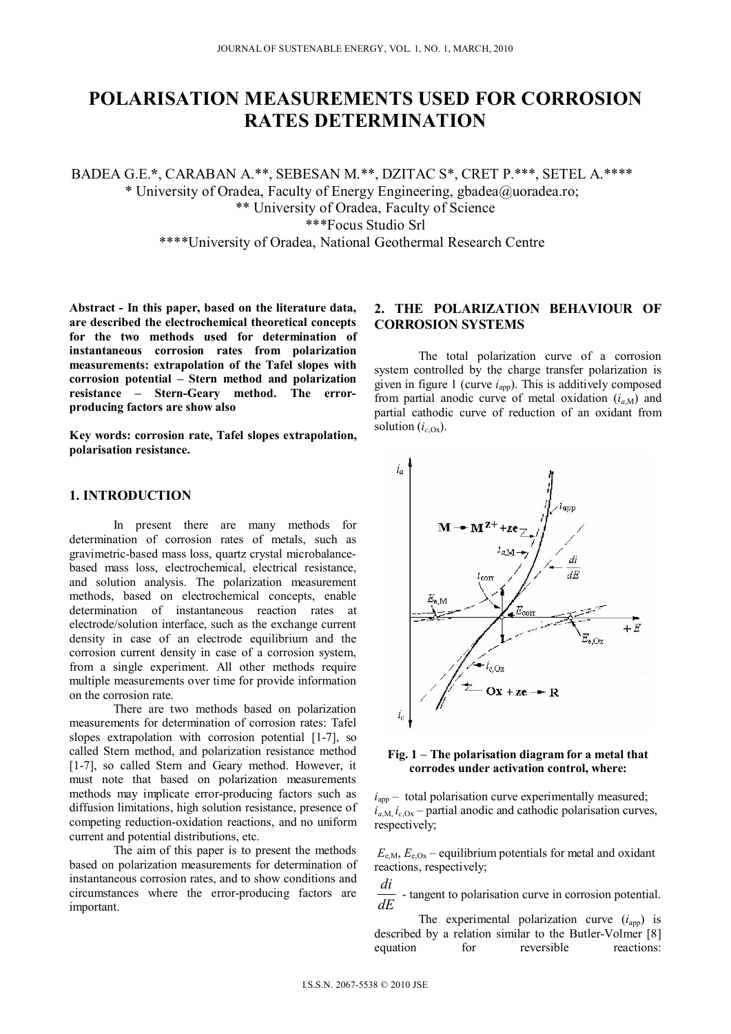# **POLARISATION MEASUREMENTS USED FOR CORROSION RATES DETERMINATION**

BADEA G.E.**\***, CARABAN A.\*\*, SEBESAN M.\*\*, DZITAC S\*, CRET P.\*\*\*, SETEL A.\*\*\*\* \* University of Oradea, Faculty of Energy Engineering, gbadea@uoradea.ro; \*\* University of Oradea, Faculty of Science \*\*\*Focus Studio Srl \*\*\*\*University of Oradea, National Geothermal Research Centre

**Abstract - In this paper, based on the literature data, are described the electrochemical theoretical concepts for the two methods used for determination of instantaneous corrosion rates from polarization measurements: extrapolation of the Tafel slopes with corrosion potential – Stern method and polarization resistance – Stern-Geary method. The errorproducing factors are show also** 

**Key words: corrosion rate, Tafel slopes extrapolation, polarisation resistance.** 

# **1. INTRODUCTION**

In present there are many methods for determination of corrosion rates of metals, such as gravimetric-based mass loss, quartz crystal microbalancebased mass loss, electrochemical, electrical resistance, and solution analysis. The polarization measurement methods, based on electrochemical concepts, enable determination of instantaneous reaction rates at electrode/solution interface, such as the exchange current density in case of an electrode equilibrium and the corrosion current density in case of a corrosion system, from a single experiment. All other methods require multiple measurements over time for provide information on the corrosion rate.

There are two methods based on polarization measurements for determination of corrosion rates: Tafel slopes extrapolation with corrosion potential [1-7], so called Stern method, and polarization resistance method [1-7], so called Stern and Geary method. However, it must note that based on polarization measurements methods may implicate error-producing factors such as diffusion limitations, high solution resistance, presence of competing reduction-oxidation reactions, and no uniform current and potential distributions, etc.

 The aim of this paper is to present the methods based on polarization measurements for determination of instantaneous corrosion rates, and to show conditions and circumstances where the error-producing factors are important.

# **2. THE POLARIZATION BEHAVIOUR OF CORROSION SYSTEMS**

 The total polarization curve of a corrosion system controlled by the charge transfer polarization is given in figure 1 (curve *i*app). This is additively composed from partial anodic curve of metal oxidation  $(i_{aM})$  and partial cathodic curve of reduction of an oxidant from solution  $(i_{cOx})$ .



#### **Fig. 1 The polarisation diagram for a metal that corrodes under activation control, where:**

 $i<sub>app</sub>$  – total polarisation curve experimentally measured;  $i_{a,M}$ ,  $i_{c,0x}$  – partial anodic and cathodic polarisation curves, respectively;

 $E_{e,M}$ ,  $E_{e,Ox}$  – equilibrium potentials for metal and oxidant reactions, respectively;

*dE di* - tangent to polarisation curve in corrosion potential.

The experimental polarization curve  $(i<sub>app</sub>)$  is described by a relation similar to the Butler-Volmer [8] equation for reversible reactions: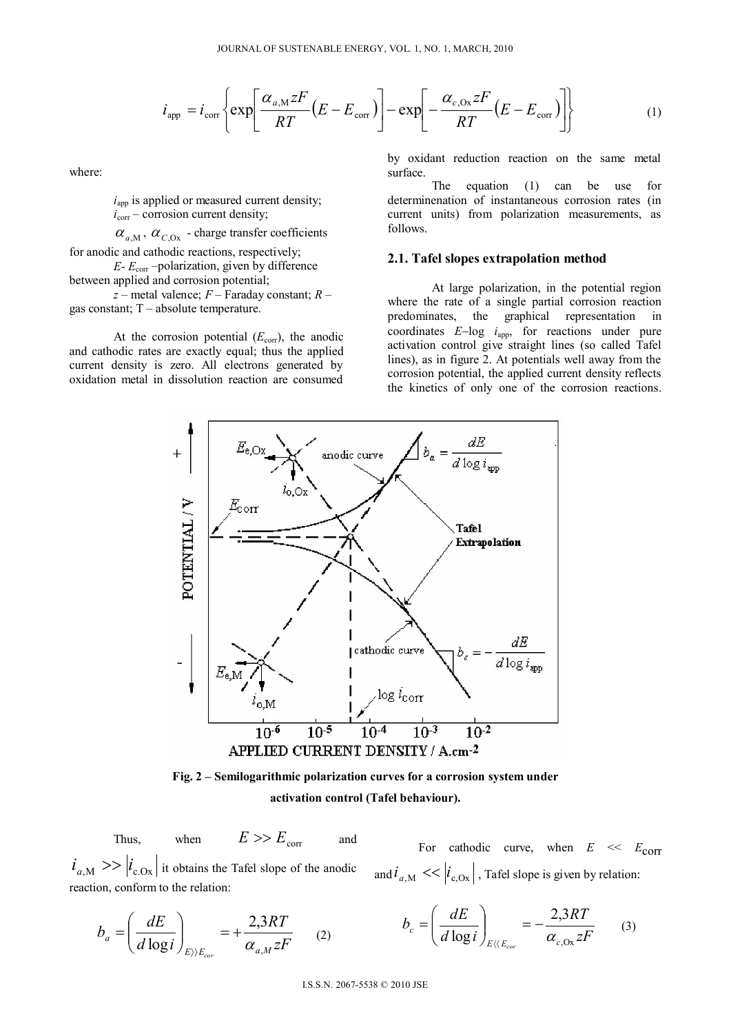$$
i_{app} = i_{\text{corr}} \left\{ \exp \left[ \frac{\alpha_{a,M} z F}{RT} (E - E_{\text{corr}}) \right] - \exp \left[ -\frac{\alpha_{c,Ox} z F}{RT} (E - E_{\text{corr}}) \right] \right\}
$$
(1)

where:

 $i<sub>app</sub>$  is applied or measured current density;  $\vec{i_{\text{corr}}}$  – corrosion current density;

 $\alpha_{a,M}$ ,  $\alpha_{C,0x}$  - charge transfer coefficients

for anodic and cathodic reactions, respectively;

 $E - E_{\text{corr}}$  –polarization, given by difference between applied and corrosion potential;

*z* – metal valence; *F* – Faraday constant; *R* – gas constant; T – absolute temperature.

At the corrosion potential  $(E_{\text{corr}})$ , the anodic and cathodic rates are exactly equal; thus the applied current density is zero. All electrons generated by oxidation metal in dissolution reaction are consumed

by oxidant reduction reaction on the same metal surface.

The equation (1) can be use for determinenation of instantaneous corrosion rates (in current units) from polarization measurements, as follows.

#### **2.1. Tafel slopes extrapolation method**

At large polarization, in the potential region where the rate of a single partial corrosion reaction predominates, the graphical representation in coordinates  $E$ -log  $i_{app}$ , for reactions under pure activation control give straight lines (so called Tafel lines), as in figure 2. At potentials well away from the corrosion potential, the applied current density reflects the kinetics of only one of the corrosion reactions.





Thus, when  $E \gg E_{corr}$  and

$$
E >> \quad
$$

 $i_{a,M}$  >>  $\left| i_{c,Ox} \right|$  it obtains the Tafel slope of the anodic reaction, conform to the relation:

For cathodic curve, when  $E \ll E_{\text{corr}}$ and  $i_{a,M} \ll |i_{c,0x}|$ , Tafel slope is given by relation:

*zF*

(3)

$$
b_a = \left(\frac{dE}{d\log i}\right)_{E \mid \sum_{E_{cor}}} = +\frac{2,3RT}{\alpha_{a,M}zF} \qquad (2) \qquad b_c = \left(\frac{dE}{d\log i}\right)_{E \mid \langle E_{cor}} = -\frac{2,3RT}{\alpha_{c,0x}zR}
$$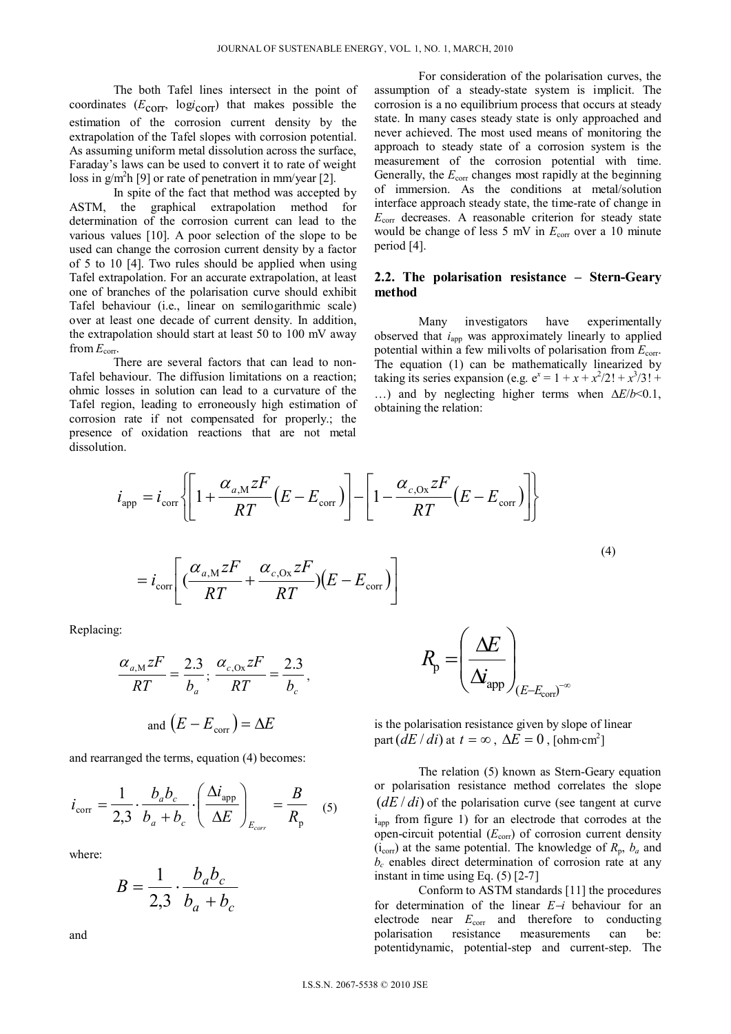The both Tafel lines intersect in the point of coordinates (*E*corr, log*i* corr) that makes possible the estimation of the corrosion current density by the extrapolation of the Tafel slopes with corrosion potential. As assuming uniform metal dissolution across the surface, Faraday's laws can be used to convert it to rate of weight loss in  $g/m<sup>2</sup>h$  [9] or rate of penetration in mm/year [2].

 In spite of the fact that method was accepted by ASTM, the graphical extrapolation method for determination of the corrosion current can lead to the various values [10]. A poor selection of the slope to be used can change the corrosion current density by a factor of 5 to 10 [4]. Two rules should be applied when using Tafel extrapolation. For an accurate extrapolation, at least one of branches of the polarisation curve should exhibit Tafel behaviour (i.e., linear on semilogarithmic scale) over at least one decade of current density. In addition, the extrapolation should start at least 50 to 100 mV away from  $E_{\text{corr}}$ .

 There are several factors that can lead to non-Tafel behaviour. The diffusion limitations on a reaction; ohmic losses in solution can lead to a curvature of the Tafel region, leading to erroneously high estimation of corrosion rate if not compensated for properly.; the presence of oxidation reactions that are not metal dissolution.

For consideration of the polarisation curves, the assumption of a steady-state system is implicit. The corrosion is a no equilibrium process that occurs at steady state. In many cases steady state is only approached and never achieved. The most used means of monitoring the approach to steady state of a corrosion system is the measurement of the corrosion potential with time. Generally, the  $E_{\text{corr}}$  changes most rapidly at the beginning of immersion. As the conditions at metal/solution interface approach steady state, the time-rate of change in *E*corr decreases. A reasonable criterion for steady state would be change of less 5 mV in  $E_{\text{corr}}$  over a 10 minute period [4].

## **2.2. The polarisation resistance – Stern-Geary method**

Many investigators have experimentally observed that *i*<sub>app</sub> was approximately linearly to applied potential within a few milivolts of polarisation from  $E_{\text{corr}}$ . The equation (1) can be mathematically linearized by taking its series expansion (e.g.  $e^x = 1 + x + x^2/2! + x^3/3! +$ ...) and by neglecting higher terms when  $\Delta E/b \le 0.1$ , obtaining the relation:

$$
i_{app} = i_{corr} \left\{ \left[ 1 + \frac{\alpha_{a,M} zF}{RT} (E - E_{corr}) \right] - \left[ 1 - \frac{\alpha_{c,0x} zF}{RT} (E - E_{corr}) \right] \right\}
$$
  

$$
= i_{corr} \left[ \left( \frac{\alpha_{a,M} zF}{RT} + \frac{\alpha_{c,0x} zF}{RT} (E - E_{corr}) \right] \right]
$$
 (4)

Replacing:

$$
\frac{\alpha_{a,M} zF}{RT} = \frac{2.3}{b_a}; \frac{\alpha_{c,0x} zF}{RT} = \frac{2.3}{b_c},
$$
  
and  $(E - E_{corr}) = \Delta E$ 

and rearranged the terms, equation (4) becomes:

$$
i_{\text{corr}} = \frac{1}{2,3} \cdot \frac{b_a b_c}{b_a + b_c} \cdot \left(\frac{\Delta i_{\text{app}}}{\Delta E}\right)_{E_{\text{corr}}} = \frac{B}{R_{\text{p}}}
$$
 (5)

where:

$$
B = \frac{1}{2,3} \cdot \frac{b_a b_c}{b_a + b_c}
$$

and

$$
R_{\rm p} = \left(\frac{\Delta E}{\Delta i_{\rm app}}\right)_{\substack{(E - E_{\rm corr})^{-\infty}}}
$$

is the polarisation resistance given by slope of linear part  $(dE/di)$  at  $t = \infty$ ,  $\Delta E = 0$ , [ohm·cm<sup>2</sup>]

The relation (5) known as Stern-Geary equation or polarisation resistance method correlates the slope  $(dE/di)$  of the polarisation curve (see tangent at curve  $i<sub>ann</sub>$  from figure 1) for an electrode that corrodes at the open-circuit potential ( $E_{\text{corr}}$ ) of corrosion current density  $(i_{\text{corr}})$  at the same potential. The knowledge of  $R_p$ ,  $b_a$  and  $b_c$  enables direct determination of corrosion rate at any instant in time using Eq. (5) [2-7]

Conform to ASTM standards [11] the procedures for determination of the linear  $E - i$  behaviour for an electrode near  $E_{\text{corr}}$  and therefore to conducting polarisation resistance measurements can be: potentidynamic, potential-step and current-step. The